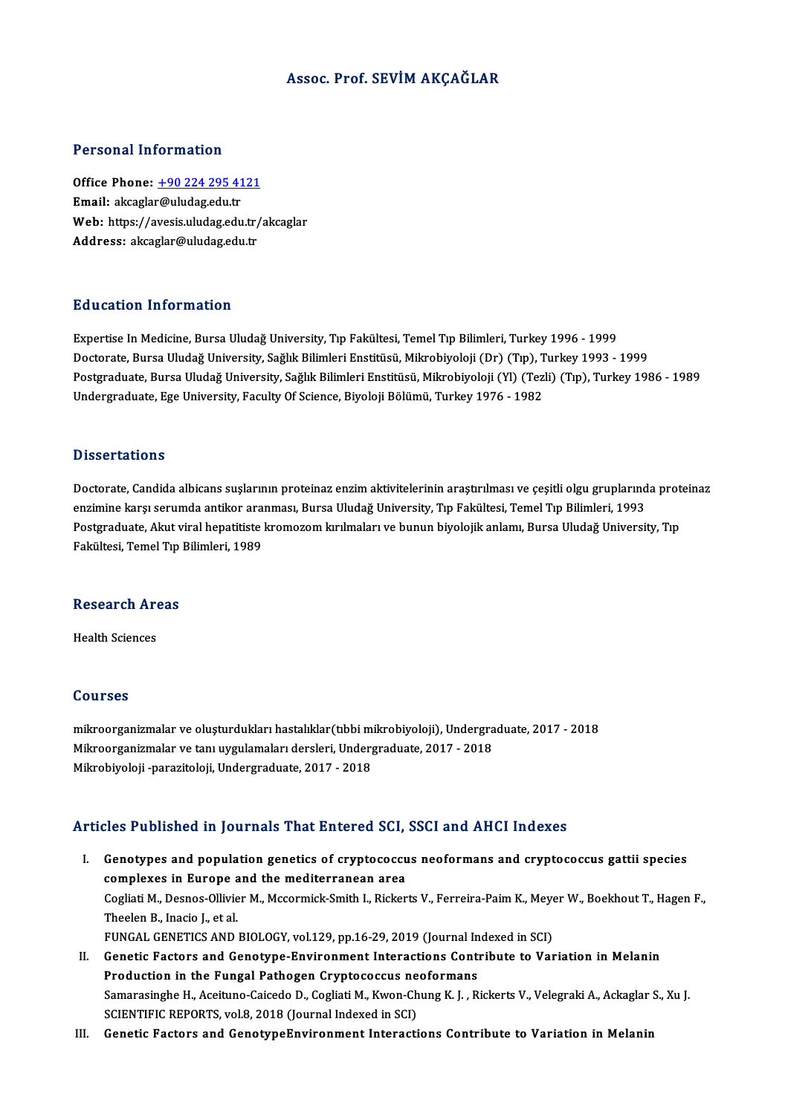#### Assoc. Prof. SEVİMAKÇAĞLAR

#### Personal Information

Personal Information<br>Office Phone: <u>+90 224 295 4121</u><br>Email: alsoslar@uludas.edu.tr Procession Emacron<br>Office Phone: <u>+90 224 295 41</u><br>Email: akcagla[r@uludag.edu.tr](tel:+90 224 295 4121) Office Phone: <u>+90 224 295 4121</u><br>Email: akcaglar@uludag.edu.tr<br>Web: https://avesis.uludag.edu.tr/akcaglar<br>Address: aksaslar@uludag.edu.tr Email: akcaglar@uludag.edu.tr<br>Web: https://avesis.uludag.edu.tr/<br>Address: akcaglar@uludag.edu.tr

#### Education Information

E<mark>ducation Information</mark><br>Expertise In Medicine, Bursa Uludağ University, Tıp Fakültesi, Temel Tıp Bilimleri, Turkey 1996 - 1999<br>Destarata Bursa Uludağ University, Sağlık Bilimleri Enstitüsü, Milrobiyoleji (Dr.) (Tıp.), Turk ваасастон титотинастон<br>Expertise In Medicine, Bursa Uludağ University, Tıp Fakültesi, Temel Tıp Bilimleri, Turkey 1996 - 1999<br>Doctorate, Bursa Uludağ University, Sağlık Bilimleri Enstitüsü, Mikrobiyoloji (Dr) (Tıp), Turke Postgraduate, Bursa Uludağ University, Sağlık Bilimleri Enstitüsü, Mikrobiyoloji (Yl) (Tezli) (Tıp), Turkey 1986 - 1989<br>Undergraduate, Ege University, Faculty Of Science, Biyoloji Bölümü, Turkey 1976 - 1982 Doctorate, Bursa Uludağ University, Sağlık Bilimleri Enstitüsü, Mikrobiyoloji (Dr) (Tıp), Turkey 1993 - 1999

#### **Dissertations**

Dissertations<br>Doctorate, Candida albicans suşlarının proteinaz enzim aktivitelerinin araştırılması ve çeşitli olgu gruplarında proteinaz<br>enzimine karşı serumda antikar aranması. Bursa Uludağ University, Tın Fakültesi, Tema enzion tatronis<br>Doctorate, Candida albicans suşlarının proteinaz enzim aktivitelerinin araştırılması ve çeşitli olgu gruplarınd<br>Bostanaduata, Alpit viral banatitista Imamazam Innimaları ve bunun bivalejik anlamı, Bursa Ill Doctorate, Candida albicans suşlarının proteinaz enzim aktivitelerinin araştırılması ve çeşitli olgu gruplarında prot<br>enzimine karşı serumda antikor aranması, Bursa Uludağ University, Tıp Fakültesi, Temel Tıp Bilimleri, 19 enzimine karşı serumda antikor ara<br>Postgraduate, Akut viral hepatitiste<br>Fakültesi, Temel Tıp Bilimleri, 1989

# rakultesi, remer rip<br>Research Areas R<mark>esearch Ar</mark><br>Health Sciences

Health Sciences<br>Courses

Courses<br>mikroorganizmalar ve oluşturdukları hastalıklar(tıbbi mikrobiyoloji), Undergraduate, 2017 - 2018<br>Milmeerganizmalar ve tan uygulamaları dereksi Undergraduate, 2017 - 2019 SS&1999<br>mikroorganizmalar ve oluşturdukları hastalıklar(tıbbi mikrobiyoloji), Undergra<br>Mikroorganizmalar ve tanı uygulamaları dersleri, Undergraduate, 2017 - 2018<br>Mikrobiyeleji, navariteleji, Undergraduate, 2017 - 2019 mikroorganizmalar ve oluşturdukları hastalıklar(tıbbi m<br>Mikroorganizmalar ve tanı uygulamaları dersleri, Under<sub>i</sub><br>Mikrobiyoloji -parazitoloji, Undergraduate, 2017 - 2018

# Mikrobiyoloji -parazitoloji, Undergraduate, 2017 - 2018<br>Articles Published in Journals That Entered SCI, SSCI and AHCI Indexes

- rticles Published in Journals That Entered SCI, SSCI and AHCI Indexes<br>I. Genotypes and population genetics of cryptococcus neoformans and cryptococcus gattii species<br>complexes in Europe and the mediterranean area complexes in Europe and the medical complexes in Europe and the mediterranean area<br>Complexes in Europe and the mediterranean area<br>Complexes in Europe and the mediterranean area Genotypes and population genetics of cryptococcus neoformans and cryptococcus gattii species<br>complexes in Europe and the mediterranean area<br>Cogliati M., Desnos-Ollivier M., Mccormick-Smith I., Rickerts V., Ferreira-Paim K. complexes in Europe and the mediterranean area<br>Cogliati M., Desnos-Ollivier M., Mccormick-Smith I., Rickerts V., Ferreira-Paim K., Meyer W., Boekhout T., Hagen F.,<br>Theelen B., Inacio J., et al. Cogliati M., Desnos-Ollivier M., Mccormick-Smith I., Rickerts V., Ferreira-Paim K., Meye<br>Theelen B., Inacio J., et al.<br>FUNGAL GENETICS AND BIOLOGY, vol.129, pp.16-29, 2019 (Journal Indexed in SCI)<br>Constis Festers and Const
- II. Genetic Factors and Genotype-Environment Interactions Contribute to Variation in Melanin FUNGAL GENETICS AND BIOLOGY, vol.129, pp.16-29, 2019 (Journal In<br>Genetic Factors and Genotype-Environment Interactions Continuation in the Fungal Pathogen Cryptococcus neoformans<br>Samanagingha H. Aggituna Caigada D. Cagliat Samarasinghe H., Aceituno-Caicedo D., Cogliati M., Kwon-Chung K. J. , Rickerts V., Velegraki A., Ackaglar S., Xu J.<br>SCIENTIFIC REPORTS, vol.8, 2018 (Journal Indexed in SCI) Production in the Fungal Pathogen Cryptococcus neoformans
- III. Genetic Factors and GenotypeEnvironment Interactions Contribute to Variation in Melanin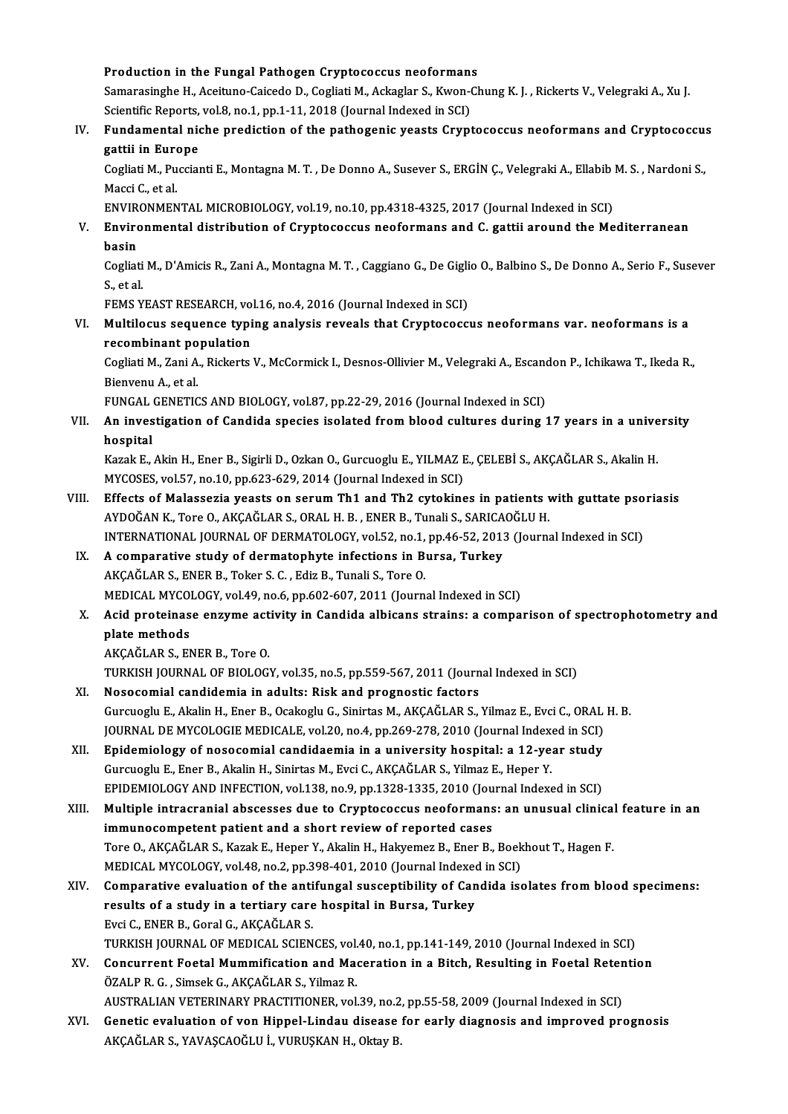# Production in the Fungal Pathogen Cryptococcus neoformans<br>Samanagingha H. Aggitung Caigada D. Cagliati M. Agliaglar S. Kuran Cl

Samarasinghe H., Aceituno-Caicedo D., Cogliati M., Ackaglar S., Kwon-Chung K. J. , Rickerts V., Velegraki A., Xu J.<br>Scientific Reports, vol.8, no.1, pp.1-11, 2018 (Journal Indexed in SCI) Production in the Fungal Pathogen Cryptococcus neoformans<br>Samarasinghe H., Aceituno-Caicedo D., Cogliati M., Ackaglar S., Kwon-Oscientific Reports, vol.8, no.1, pp.1-11, 2018 (Journal Indexed in SCI) Samarasinghe H., Aceituno-Caicedo D., Cogliati M., Ackaglar S., Kwon-Chung K. J. , Rickerts V., Velegraki A., Xu J.<br>Scientific Reports, vol.8, no.1, pp.1-11, 2018 (Journal Indexed in SCI)<br>IV. Fundamental niche prediction o

## Scientific Reports,<br>Fundamental nic<br>gattii in Europe<br>Cosliati M. Pussia Fundamental niche prediction of the pathogenic yeasts Cryptococcus neoformans and Cryptococcus<br>gattii in Europe<br>Cogliati M., Puccianti E., Montagna M. T. , De Donno A., Susever S., ERGİN Ç., Velegraki A., Ellabib M. S. , N

gattii in Europe<br>Cogliati M., Puccianti E., Montagna M. T. , De Donno A., Susever S., ERGİN Ç., Velegraki A., Ellabib<br>Macci C., et al.<br>ENVIRONMENTAL MICROBIOLOGY, vol.19, no.10, pp.4318-4325, 2017 (Journal Indexed in SCI) Cogliati M., Puccianti E., Montagna M. T., De Donno A., Susever S., ERGIN C., Velegraki A., Ellabib M. S., Nardoni S.,

Macci C., et al.<br>ENVIRONMENTAL MICROBIOLOGY, vol.19, no.10, pp.4318-4325, 2017 (Journal Indexed in SCI)<br>V. Environmental distribution of Cryptococcus neoformans and C. gattii around the Mediterranean<br>hasin ENVIR<sub>!</sub><br>Envirc<br>basin Environmental distribution of Cryptococcus neoformans and C. gattii around the Mediterranean<br>basin<br>Cogliati M., D'Amicis R., Zani A., Montagna M. T. , Caggiano G., De Giglio O., Balbino S., De Donno A., Serio F., Susever<br>S

<mark>basin</mark><br>Cogliati<br>S., et al.<br>ЕЕМС У Cogliati M., D'Amicis R., Zani A., Montagna M. T. , Caggiano G., De Gigli<br>S., et al.<br>FEMS YEAST RESEARCH, vol.16, no.4, 2016 (Journal Indexed in SCI)<br>Multile que sequence tuning englysis reveals that Cruntesees:

S., et al.<br>FEMS YEAST RESEARCH, vol.16, no.4, 2016 (Journal Indexed in SCI)<br>VI. Multilocus sequence typing analysis reveals that Cryptococcus neoformans var. neoformans is a<br>recombinent nepulation FEMS YEAST RESEARCH, vol<br>Multilocus sequence typi<br>recombinant population<br>Coslinti M. Zani A. Biskorte Multilocus sequence typing analysis reveals that Cryptococcus neoformans var. neoformans is a<br>recombinant population<br>Cogliati M., Zani A., Rickerts V., McCormick I., Desnos-Ollivier M., Velegraki A., Escandon P., Ichikawa

recombinant population<br>Cogliati M., Zani A., Rickerts V., McCormick I., Desnos-Ollivier M., Velegraki A., Escan<br>Bienvenu A., et al.<br>FUNGAL GENETICS AND BIOLOGY, vol.87, pp.22-29, 2016 (Journal Indexed in SCI) Cogliati M., Zani A., Rickerts V., McCormick I., Desnos-Ollivier M., Velegraki A., Escandon P., Ichikawa T., Ikeda R.,

Bienvenu A., et al.<br>FUNGAL GENETICS AND BIOLOGY, vol.87, pp.22-29, 2016 (Journal Indexed in SCI)<br>VII. An investigation of Candida species isolated from blood cultures during 17 years in a university<br>heenitel FUNGAL<br>**An inves<br>hospital**<br>Karak E An investigation of Candida species isolated from blood cultures during 17 years in a unive<br>hospital<br>Kazak E., Akin H., Ener B., Sigirli D., Ozkan O., Gurcuoglu E., YILMAZ E., ÇELEBİ S., AKÇAĞLAR S., Akalin H.<br>MVCOSES VOLE

hospital<br>Kazak E., Akin H., Ener B., Sigirli D., Ozkan O., Gurcuoglu E., YILMAZ E., ÇELEBİ S., AKÇAĞLAR S., Akalin H.<br>MYCOSES, vol.57, no.10, pp.623-629, 2014 (Journal Indexed in SCI) Kazak E., Akin H., Ener B., Sigirli D., Ozkan O., Gurcuoglu E., YILMAZ E., ÇELEBİ S., AKÇAĞLAR S., Akalin H.<br>MYCOSES, vol.57, no.10, pp.623-629, 2014 (Journal Indexed in SCI)<br>VIII. Effects of Malassezia yeasts on serum Th1

- MYCOSES, vol.57, no.10, pp.623-629, 2014 (Journal Indexed in SCI)<br>Effects of Malassezia yeasts on serum Th1 and Th2 cytokines in patients v<br>AYDOĞAN K., Tore O., AKÇAĞLAR S., ORAL H. B. , ENER B., Tunali S., SARICAOĞLU H.<br>I Effects of Malassezia yeasts on serum Th1 and Th2 cytokines in patients with guttate pso<br>AYDOĞAN K., Tore O., AKÇAĞLAR S., ORAL H. B. , ENER B., Tunali S., SARICAOĞLU H.<br>INTERNATIONAL JOURNAL OF DERMATOLOGY, vol.52, no.1, AYDOĞAN K., Tore O., AKÇAĞLAR S., ORAL H. B., ENER B., Tunali S., SARICAOĞLU H.<br>INTERNATIONAL JOURNAL OF DERMATOLOGY, vol.52, no.1, pp.46-52, 2013 (Journa<br>IX. A comparative study of dermatophyte infections in Bursa, Turkey INTERNATIONAL JOURNAL OF DERMATOLOGY, vol.52, no.1, pp.46-52, 2013 (Journal Indexed in SCI)
- MEDICAL MYCOLOGY, vol.49, no.6, pp.602-607, 2011 (Journal Indexed in SCI)
- AKÇAĞLAR S., ENER B., Toker S. C. , Ediz B., Tunali S., Tore O.<br>MEDICAL MYCOLOGY, vol.49, no.6, pp.602-607, 2011 (Journal Indexed in SCI)<br>X. Acid proteinase enzyme activity in Candida albicans strains: a comparison of MEDICAL MYCO<br>**Acid proteinas<br>plate methods**<br>AKCAČI AR S. EN **Acid proteinase enzyme act<br>plate methods<br>AKÇAĞLAR S., ENER B., Tore O.<br>TURKISH JOURNAL OF PIOLOC.** plate methods<br>AKÇAĞLAR S., ENER B., Tore O.<br>TURKISH JOURNAL OF BIOLOGY, vol.35, no.5, pp.559-567, 2011 (Journal Indexed in SCI)<br>Nesessamial sandidamia in adults: Bisk and prespestis fastars.

- AKÇAĞLAR S., ENER B., Tore O.<br>TURKISH JOURNAL OF BIOLOGY, vol.35, no.5, pp.559-567, 2011 (Journ<br>XI. Nosocomial candidemia in adults: Risk and prognostic factors<br>Curguosly E. Alglin H. Ener B. Osakasly C. Sinistee M. AKCAĞL TURKISH JOURNAL OF BIOLOGY, vol.35, no.5, pp.559-567, 2011 (Journal Indexed in SCI)<br>Nosocomial candidemia in adults: Risk and prognostic factors<br>Gurcuoglu E., Akalin H., Ener B., Ocakoglu G., Sinirtas M., AKÇAĞLAR S., Yilm Nosocomial candidemia in adults: Risk and prognostic factors<br>Gurcuoglu E., Akalin H., Ener B., Ocakoglu G., Sinirtas M., AKÇAĞLAR S., Yilmaz E., Evci C., ORAL<br>JOURNAL DE MYCOLOGIE MEDICALE, vol.20, no.4, pp.269-278, 2010 ( Gurcuoglu E., Akalin H., Ener B., Ocakoglu G., Sinirtas M., AKÇAĞLAR S., Yilmaz E., Evci C., ORAL<br>JOURNAL DE MYCOLOGIE MEDICALE, vol.20, no.4, pp.269-278, 2010 (Journal Indexed in SCI)<br>XII. Epidemiology of nosocomial candi
- JOURNAL DE MYCOLOGIE MEDICALE, vol.20, no.4, pp.269-278, 2010 (Journal Index<br>Epidemiology of nosocomial candidaemia in a university hospital: a 12-ye.<br>Gurcuoglu E., Ener B., Akalin H., Sinirtas M., Evci C., AKÇAĞLAR S., Yi Epidemiology of nosocomial candidaemia in a university hospital: a 12-year study<br>Gurcuoglu E., Ener B., Akalin H., Sinirtas M., Evci C., AKÇAĞLAR S., Yilmaz E., Heper Y.<br>EPIDEMIOLOGY AND INFECTION, vol.138, no.9, pp.1328-1 Gurcuoglu E., Ener B., Akalin H., Sinirtas M., Evci C., AKÇAĞLAR S., Yilmaz E., Heper Y.<br>EPIDEMIOLOGY AND INFECTION, vol.138, no.9, pp.1328-1335, 2010 (Journal Indexed in SCI)<br>XIII. Multiple intracranial abscesses due to C

EPIDEMIOLOGY AND INFECTION, vol.138, no.9, pp.1328-1335, 2010 (Jou<br>Multiple intracranial abscesses due to Cryptococcus neoformans<br>immunocompetent patient and a short review of reported cases<br>Tare O. AKCAČLAR S. Karak E. Ha Multiple intracranial abscesses due to Cryptococcus neoformans: an unusual clinical<br>immunocompetent patient and a short review of reported cases<br>Tore O., AKÇAĞLAR S., Kazak E., Heper Y., Akalin H., Hakyemez B., Ener B., Bo immunocompetent patient and a short review of reported cases<br>Tore O., AKÇAĞLAR S., Kazak E., Heper Y., Akalin H., Hakyemez B., Ener B., Boek<br>MEDICAL MYCOLOGY, vol.48, no.2, pp.398-401, 2010 (Journal Indexed in SCI)<br>Compara Tore O., AKÇAĞLAR S., Kazak E., Heper Y., Akalin H., Hakyemez B., Ener B., Boekhout T., Hagen F.<br>MEDICAL MYCOLOGY, vol.48, no.2, pp.398-401, 2010 (Journal Indexed in SCI)<br>XIV. Comparative evaluation of the antifungal susce

- MEDICAL MYCOLOGY, vol.48, no.2, pp.398-401, 2010 (Journal Indexed<br>Comparative evaluation of the antifungal susceptibility of Can<br>results of a study in a tertiary care hospital in Bursa, Turkey<br>Fugi G, FNER B, Carel G, AKGA Comparative evaluation of the anti<br>results of a study in a tertiary care<br>Evci C., ENER B., Goral G., AKÇAĞLAR S.<br>TURKISH JOURNAL OF MEDICAL SCIEN results of a study in a tertiary care hospital in Bursa, Turkey<br>Evci C., ENER B., Goral G., AKÇAĞLAR S.<br>TURKISH JOURNAL OF MEDICAL SCIENCES, vol.40, no.1, pp.141-149, 2010 (Journal Indexed in SCI)<br>Conguryant Footal Mummifi Evci C., ENER B., Goral G., AKÇAĞLAR S.<br>TURKISH JOURNAL OF MEDICAL SCIENCES, vol.40, no.1, pp.141-149, 2010 (Journal Indexed in SCI)<br>XV. Concurrent Foetal Mummification and Maceration in a Bitch, Resulting in Foetal Retent
- TURKISH JOURNAL OF MEDICAL SCIENCES, vol.<br>Concurrent Foetal Mummification and Mac<br>ÖZALP R. G. , Simsek G., AKÇAĞLAR S., Yilmaz R.<br>AUSTRALIAN VETERINARY PRACTITIONER vol. Concurrent Foetal Mummification and Maceration in a Bitch, Resulting in Foetal Reter<br>ÖZALP R. G. , Simsek G., AKÇAĞLAR S., Yilmaz R.<br>AUSTRALIAN VETERINARY PRACTITIONER, vol.39, no.2, pp.55-58, 2009 (Journal Indexed in SCI)

ÖZALP R. G. , Simsek G., AKÇAĞLAR S., Yilmaz R.<br>AUSTRALIAN VETERINARY PRACTITIONER, vol.39, no.2, pp.55-58, 2009 (Journal Indexed in SCI)<br>XVI. Genetic evaluation of von Hippel-Lindau disease for early diagnosis and improve AUSTRALIAN VETERINARY PRACTITIONER, vol.39, no.2<br>Genetic evaluation of von Hippel-Lindau disease<br>AKÇAĞLAR S., YAVAŞCAOĞLU İ., VURUŞKAN H., Oktay B.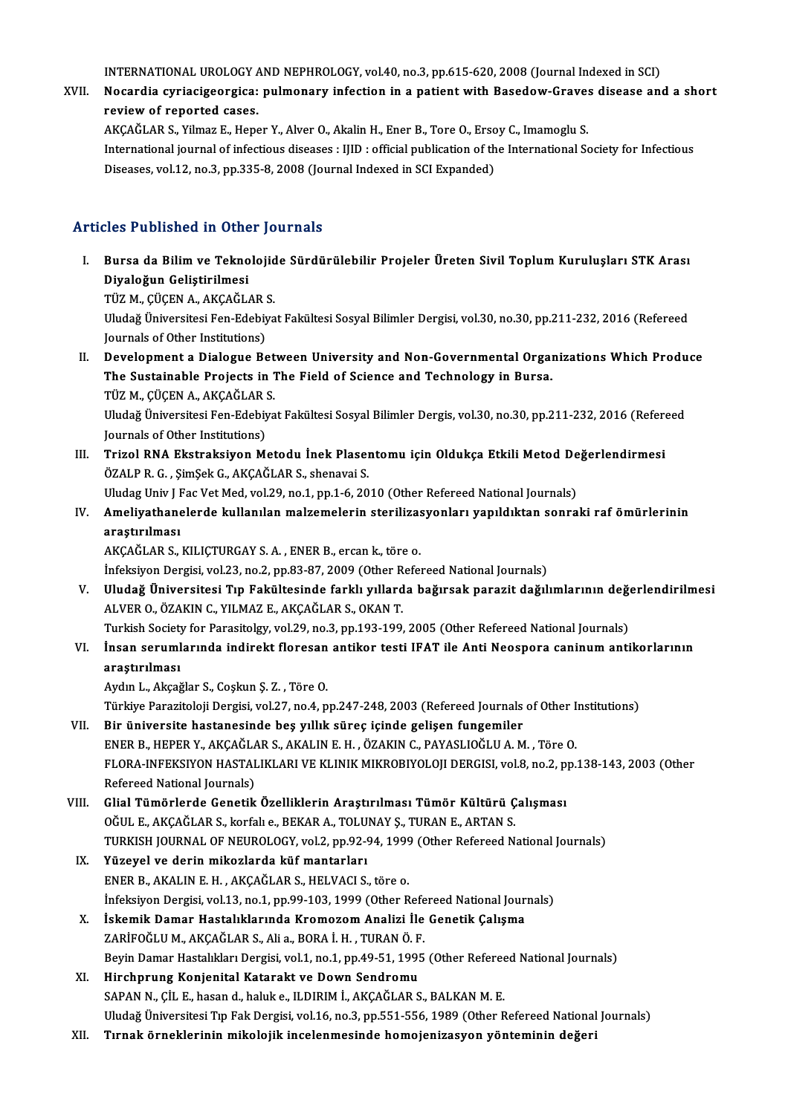INTERNATIONAL UROLOGY AND NEPHROLOGY, vol.40, no.3, pp.615-620, 2008 (Journal Indexed in SCI)<br>Negardia suriasigaergias: pulmenary infection in a nationt with Basedow Crayes disease and

XVII. Nocardia cyriacigeorgica: pulmonary infection in a patient with Basedow-Graves disease and a short review of reported cases. **INTERNATIONAL UROLOGY /<br>Nocardia cyriacigeorgica:<br>review of reported cases.** Nocardia cyriacigeorgica: pulmonary infection in a patient with Basedow-Grave:<br>review of reported cases.<br>AKÇAĞLAR S., Yilmaz E., Heper Y., Alver O., Akalin H., Ener B., Tore O., Ersoy C., Imamoglu S.<br>International journal

International journal of infectious diseases : IJID : official publication of the International Society for Infectious<br>Diseases, vol.12, no.3, pp.335-8, 2008 (Journal Indexed in SCI Expanded) AKÇAĞLAR S., Yilmaz E., Heper Y., Alver O., Akalin H., Ener B., Tore O., Erso<br>International journal of infectious diseases : IJID : official publication of th<br>Diseases, vol.12, no.3, pp.335-8, 2008 (Journal Indexed in SCI

#### Articles Published in Other Journals

- I. Bursa da Bilimve Teknolojide Sürdürülebilir Projeler Üreten Sivil ToplumKuruluşları STK Arası Diyaloğun Geliştirilmesi Bursa da Bilim ve Teknolojid<br>Diyaloğun Geliştirilmesi<br>TÜZ M., ÇÜÇEN A., AKÇAĞLAR S.<br>Uludağ Üniversitesi Ean Edabiya Uludağ Üniversitesi Fen-Edebiyat Fakültesi Sosyal Bilimler Dergisi, vol.30, no.30, pp.211-232, 2016 (Refereed<br>Journals of Other Institutions) TÜZ M., ÇÜÇEN A., AKÇAĞLAR !<br>Uludağ Üniversitesi Fen-Edebiy<br>Journals of Other Institutions)<br>Dovelorment a Dialogue Be
- II. Development a Dialogue Between University and Non-Governmental Organizations Which Produce Journals of Other Institutions)<br>Development a Dialogue Between University and Non-Governmental Orgal<br>The Sustainable Projects in The Field of Science and Technology in Bursa.<br>T<sup>üz M. CüCEN A. AKCAČLAR S</sup> Development a Dialogue Bet<br>The Sustainable Projects in 1<br>TÜZ M., ÇÜÇEN A., AKÇAĞLAR S.<br>Uludeğ Üniversitesi Fen Edebiye Uludağ Üniversitesi Fen-Edebiyat Fakültesi Sosyal Bilimler Dergis, vol.30, no.30, pp.211-232, 2016 (Refereed<br>Journals of Other Institutions) TÜZ M., ÇÜÇEN A., AKÇAĞLAR S. Uludağ Üniversitesi Fen-Edebiyat Fakültesi Sosyal Bilimler Dergis, vol.30, no.30, pp.211-232, 2016 (Referd<br>Journals of Other Institutions)<br>III. Trizol RNA Ekstraksiyon Metodu İnek Plasentomu için Oldukça Etkili Metod Değer
- Journals of Other Institutions)<br>Trizol RNA Ekstraksiyon Metodu İnek Plaseı<br>ÖZALP R. G. , ŞimŞek G., AKÇAĞLAR S., shenavai S.<br>Uludas Univ LEas Vet Med vol 29, no 1, nn 1,6, 20 Trizol RNA Ekstraksiyon Metodu İnek Plasentomu için Oldukça Etkili Metod De<br>ÖZALP R. G. , ŞimŞek G., AKÇAĞLAR S., shenavai S.<br>Uludag Univ J Fac Vet Med, vol.29, no.1, pp.1-6, 2010 (Other Refereed National Journals)<br>Ameliya ÖZALP R. G. , ŞimŞek G., AKÇAĞLAR S., shenavai S.<br>Uludag Univ J Fac Vet Med, vol.29, no.1, pp.1-6, 2010 (Other Refereed National Journals)<br>IV. Ameliyathanelerde kullanılan malzemelerin sterilizasyonları yapıldıktan son
- Uludag Univ J I<br><mark>Ameliyathane</mark><br>araştırılması<br>AKÇAČI AR S araştırılması<br>AKÇAĞLAR S., KILIÇTURGAY S. A. , ENER B., ercan k., töre o. araştırılması<br>AKÇAĞLAR S., KILIÇTURGAY S. A. , ENER B., ercan k., töre o.<br>İnfeksiyon Dergisi, vol.23, no.2, pp.83-87, 2009 (Other Refereed National Journals)<br>Uludeğ Üniversitesi Tın Fakültesinde farklı yıllarda bağırsak pe

V. Uludağ Üniversitesi Tıp Fakültesinde farklı yıllarda bağırsak parazit dağılımlarının değerlendirilmesi<br>ALVER O., ÖZAKIN C., YILMAZ E., AKÇAĞLAR S., OKAN T. İnfeksiyon Dergisi, vol.23, no.2, pp.83-87, 2009 (Other R<br>Uludağ Üniversitesi Tıp Fakültesinde farklı yıllard<br>ALVER O., ÖZAKIN C., YILMAZ E., AKÇAĞLAR S., OKAN T.<br>Turkish Sosisty far Parasitelay vol.29, no.2, nn.192, 199. Uludağ Üniversitesi Tıp Fakültesinde farklı yıllarda bağırsak parazit dağılımlarının değen<br>ALVER O., ÖZAKIN C., YILMAZ E., AKÇAĞLAR S., OKAN T.<br>Turkish Society for Parasitolgy, vol.29, no.3, pp.193-199, 2005 (Other Referee ALVER O., ÖZAKIN C., YILMAZ E., AKÇAĞLAR S., OKAN T.<br>Turkish Society for Parasitolgy, vol.29, no.3, pp.193-199, 2005 (Other Refereed National Journals)<br>VI. İnsan serumlarında indirekt floresan antikor testi IFAT ile Anti N

Turkish Societ<br>İnsan seruml<br>araştırılması<br>Aydın L. Aksağ İnsan serumlarında indirekt floresan<br>araştırılması<br>Aydın L., Akçağlar S., Coşkun Ş. Z. , Töre O.<br>Türkiye Peresiteleji Dersisi vel 37 ne 4 n araştırılması<br>Aydın L., Akçağlar S., Coşkun Ş. Z. , Töre O.<br>Türkiye Parazitoloji Dergisi, vol.27, no.4, pp.247-248, 2003 (Refereed Journals of Other Institutions)<br>Bin üniversite bastanssinda bes vulluk süres isinda selisen

- Aydın L., Akçağlar S., Coşkun Ş. Z. , Töre O.<br>Türkiye Parazitoloji Dergisi, vol.27, no.4, pp.247-248, 2003 (Refereed Journals<br>VII. Bir üniversite hastanesinde beş yıllık süreç içinde gelişen fungemiler<br>ENER B. HERER V. AVÇ Türkiye Parazitoloji Dergisi, vol.27, no.4, pp.247-248, 2003 (Refereed Journals of Other I:<br>Bir üniversite hastanesinde beş yıllık süreç içinde gelişen fungemiler<br>ENER B., HEPER Y., AKÇAĞLAR S., AKALIN E. H. , ÖZAKIN C., P VII. Bir üniversite hastanesinde beş yıllık süreç içinde gelişen fungemiler<br>ENER B., HEPER Y., AKÇAĞLAR S., AKALIN E. H. , ÖZAKIN C., PAYASLIOĞLU A. M. , Töre O.<br>FLORA-INFEKSIYON HASTALIKLARI VE KLINIK MIKROBIYOLOJI DERGIS ENER B., HEPER Y., AKÇAĞLAR S., AKALIN E. H., ÖZAKIN C., PAYASLIOĞLU A. M., Töre O. FLORA-INFEKSIYON HASTALIKLARI VE KLINIK MIKROBIYOLOJI DERGISI, vol.8, no.2, p<br>Refereed National Journals)<br>VIII. Glial Tümörlerde Genetik Özelliklerin Araştırılması Tümör Kültürü Çalışması<br>OČULE AKÇAČLAR S. korfalı 9 BEKAR
- Refereed National Journals)<br>Glial Tümörlerde Genetik Özelliklerin Araştırılması Tümör Kültürü Ç<br>OĞUL E., AKÇAĞLAR S., korfalı e., BEKAR A., TOLUNAY Ş., TURAN E., ARTAN S.<br>TURKISH JOURNAL OF NEUROLOCY vel 2 apa 2.24, 1999 ( Glial Tümörlerde Genetik Özelliklerin Araştırılması Tümör Kültürü Çalışması<br>OĞUL E., AKÇAĞLAR S., korfalı e., BEKAR A., TOLUNAY Ş., TURAN E., ARTAN S.<br>TURKISH JOURNAL OF NEUROLOGY, vol.2, pp.92-94, 1999 (Other Refereed Nat OĞUL E., AKÇAĞLAR S., korfalı e., BEKAR A., TOLUNAY Ş., TURAN E., ARTAN S.<br>TURKISH JOURNAL OF NEUROLOGY, vol.2, pp.92-94, 1999 (Other Refereed N.<br>IX. Yüzeyel ve derin mikozlarda küf mantarları<br>ENER B., AKALIN E. H. , A TURKISH JOURNAL OF NEUROLOGY, vol.2, pp.92-94, 1999 (Other Refereed National Journals)
- İnfeksiyon Dergisi, vol.13, no.1, pp.99-103, 1999 (Other Refereed National Journals) ENER B., AKALIN E. H. , AKÇAĞLAR S., HELVACI S., töre o.<br>Infeksiyon Dergisi, vol.13, no.1, pp.99-103, 1999 (Other Refereed National Jour<br>X. Iskemik Damar Hastalıklarında Kromozom Analizi İle Genetik Çalışma<br>ZARİFOĞLUM, AKÇ
- İnfeksiyon Dergisi, vol.13, no.1, pp.99-103, 1999 (Other Refe<br>İskemik Damar Hastalıklarında Kromozom Analizi İle<br>ZARİFOĞLU M., AKÇAĞLAR S., Ali a., BORA İ. H. , TURAN Ö. F.<br>Boyin Damar Hastalıkları Dargisi vol.1, no.1, nn. ZARİFOĞLU M., AKÇAĞLAR S., Ali a., BORA İ. H. , TURAN Ö. F.<br>Beyin Damar Hastalıkları Dergisi, vol.1, no.1, pp.49-51, 1995 (Other Refereed National Journals)
- XI. Hirchprung Konjenital Katarakt ve Down Sendromu SAPAN N., ÇİL E., hasan d., haluk e., ILDIRIM İ., AKÇAĞLAR S., BALKAN M. E. Hirchprung Konjenital Katarakt ve Down Sendromu<br>SAPAN N., ÇİL E., hasan d., haluk e., ILDIRIM İ., AKÇAĞLAR S., BALKAN M. E.<br>Uludağ Üniversitesi Tıp Fak Dergisi, vol.16, no.3, pp.551-556, 1989 (Other Refereed National Journ SAPAN N., ÇİL E., hasan d., haluk e., ILDIRIM İ., AKÇAĞLAR S., BALKAN M. E.<br>Uludağ Üniversitesi Tıp Fak Dergisi, vol.16, no.3, pp.551-556, 1989 (Other Refereed National<br>XII. Tırnak örneklerinin mikolojik incelenmesinde
-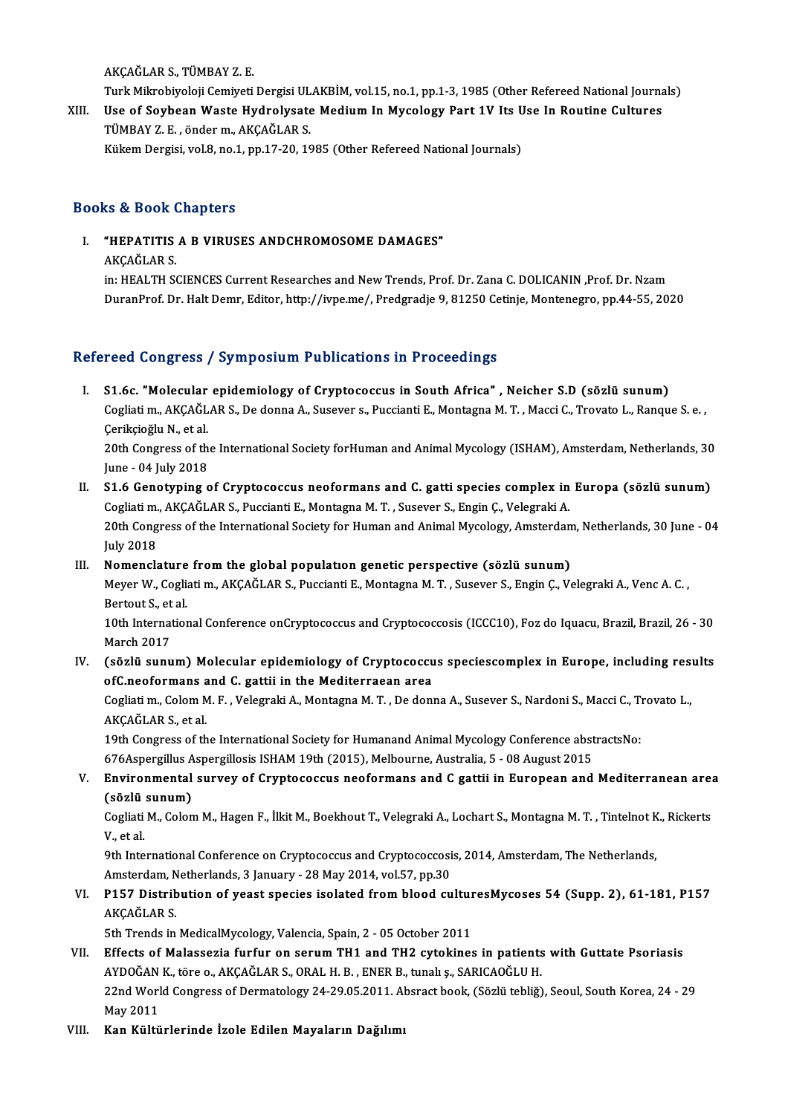AKÇAĞLARS.,TÜMBAYZ.E.

AKÇAĞLAR S., TÜMBAY Z. E.<br>Turk Mikrobiyoloji Cemiyeti Dergisi ULAKBİM, vol.15, no.1, pp.1-3, 1985 (Other Refereed National Journals)<br>Has ef Seybeen Weste Hydrolysate Medium In Myselegy Part 1V Its Has In Boutine Gultunes AKÇAĞLAR S., TÜMBAY Z. E.<br>Turk Mikrobiyoloji Cemiyeti Dergisi ULAKBİM, vol.15, no.1, pp.1-3, 1985 (Other Refereed National Journa<br>XIII. Use of Soybean Waste Hydrolysate Medium In Mycology Part 1V Its Use In Routine Cul

Turk Mikrobiyoloji Cemiyeti Dergisi UL<br>Use of Soybean Waste Hydrolysate<br>TÜMBAY Z. E. , önder m., AKÇAĞLAR S.<br>Kültem Dergisi vel 9. ne 1. nn 17.20.16 Use of Soybean Waste Hydrolysate Medium In Mycology Part 1V Its Use In Routine Cultures<br>TÜMBAY Z. E. , önder m., AKÇAĞLAR S.<br>Kükem Dergisi, vol.8, no.1, pp.17-20, 1985 (Other Refereed National Journals)

#### Books&Book Chapters

OOks & Book Chapters<br>I. "HEPATITIS A B VIRUSES ANDCHROMOSOME DAMAGES" 15 & BOOK<br>"HEPATITIS<br>AKÇAĞLAR S.<br>in: HEALTH SC

AKÇAĞLAR S.<br>in: HEALTH SCIENCES Current Researches and New Trends, Prof. Dr. Zana C. DOLICANIN ,Prof. Dr. Nzam DuranProf. Dr. Halt Demr, Editor, http://ivpe.me/, Predgradje 9, 81250 Cetinje, Montenegro, pp.44-55, 2020

#### Refereed Congress / Symposium Publications in Proceedings

efereed Congress / Symposium Publications in Proceedings<br>I. S1.6c. "Molecular epidemiology of Cryptococcus in South Africa" , Neicher S.D (sözlü sunum)<br>Coslisti m. AKCAČLAR S. De danna A. Susayar a. Bussianti E. Mantasna M reca dongress / symposium i usineations in i receeuings<br>S1.6c. "Molecular epidemiology of Cryptococcus in South Africa" , Neicher S.D (sözlü sunum)<br>Cogliati m., AKÇAĞLAR S., De donna A., Susever s., Puccianti E., Montagna **S1.6c. "Molecular**<br>Cogliati m., AKÇAĞL<br>Çerikçioğlu N., et al.<br>20th Congress of th Cogliati m., AKÇAĞLAR S., De donna A., Susever s., Puccianti E., Montagna M. T. , Macci C., Trovato L., Ranque S. e. ,<br>Çerikçioğlu N., et al.<br>20th Congress of the International Society forHuman and Animal Mycology (ISHAM),

Çerikçioğlu N., et al.<br>20th Congress of the International Society forHuman and Animal Mycology (ISHAM), Amsterdam, Netherlands, 30<br>June - 04 July 2018 20th Congress of the International Society for Human and Animal Mycology (ISHAM), Amsterdam, Netherlands, 30<br>June - 04 July 2018<br>II. S1.6 Genotyping of Cryptococcus neoformans and C. gatti species complex in Europa (sözlü

June - 04 July 2018<br>S1.6 Genotyping of Cryptococcus neoformans and C. gatti species complex in<br>Cogliati m., AKÇAĞLAR S., Puccianti E., Montagna M. T. , Susever S., Engin Ç., Velegraki A.<br>20th Congress of the International S1.6 Genotyping of Cryptococcus neoformans and C. gatti species complex in Europa (sözlü sunum)<br>Cogliati m., AKÇAĞLAR S., Puccianti E., Montagna M. T. , Susever S., Engin Ç., Velegraki A.<br>20th Congress of the International Cogliati m., AKÇAĞLAR S., Puccianti E., Montagna M. T. , Susever S., Engin Ç., Velegraki A.<br>20th Congress of the International Society for Human and Animal Mycology, Amsterdam, Netherlands, 30 June - 04<br>July 2018

#### III. Nomenclature from the global population genetic perspective (sözlü sunum)

July 2018<br>Nomenclature from the global populatıon genetic perspective (sözlü sunum)<br>Meyer W., Cogliati m., AKÇAĞLAR S., Puccianti E., Montagna M. T. , Susever S., Engin Ç., Velegraki A., Venc A. C. ,<br>Bertout S. et al. **Nomenclature<br>Meyer W., Cogli:<br>Bertout S., et al.**<br>10th Internation Meyer W., Cogliati m., AKÇAĞLAR S., Puccianti E., Montagna M. T. , Susever S., Engin Ç., Velegraki A., Venc A. C. ,<br>Bertout S., et al.<br>10th International Conference onCryptococcus and Cryptococcosis (ICCC10), Foz do Iquacu

Bertout S., et al.<br>10th International Conference onCryptococcus and Cryptococcosis (ICCC10), Foz do Iquacu, Brazil, Brazil, 26 - 30<br>March 2017 10th International Conference onCryptococcus and Cryptococcosis (ICCC10), Foz do Iquacu, Brazil, Brazil, 26 - 30<br>March 2017<br>IV. (sözlü sunum) Molecular epidemiology of Cryptococcus speciescomplex in Europe, including resul

## March 2017<br>(sözlü sunum) Molecular epidemiology of Cryptococcu<br>ofC.neoformans and C. gattii in the Mediterraean area<br>Cesliati m. Celam M.E. Velesueli A. Mentama M.T., De deni (sözlü sunum) Molecular epidemiology of Cryptococcus speciescomplex in Europe, including rest<br>ofC.neoformans and C. gattii in the Mediterraean area<br>Cogliati m., Colom M. F. , Velegraki A., Montagna M. T. , De donna A., Sus

**ofC.neoformans**<br>Cogliati m., Colom M<br>AKÇAĞLAR S., et al.<br>19th Congress of th Cogliati m., Colom M. F. , Velegraki A., Montagna M. T. , De donna A., Susever S., Nardoni S., Macci C., Ti<br>AKÇAĞLAR S., et al.<br>19th Congress of the International Society for Humanand Animal Mycology Conference abstractsNo

AKÇAĞLAR S., et al.<br>19th Congress of the International Society for Humanand Animal Mycology Conference abstractsNo:<br>676Aspergillus Aspergillosis ISHAM 19th (2015), Melbourne, Australia, 5 - 08 August 2015 19th Congress of the International Society for Humanand Animal Mycology Conference abstractsNo:<br>676Aspergillus Aspergillosis ISHAM 19th (2015), Melbourne, Australia, 5 - 08 August 2015<br>V. Environmental survey of Cryptococc

## 676Aspergillus A<br>Environmental<br>(sözlü sunum)<br>Cogliati M. Colon Environmental survey of Cryptococcus neoformans and C gattii in European and Mediterranean are:<br>(sözlü sunum)<br>Cogliati M., Colom M., Hagen F., İlkit M., Boekhout T., Velegraki A., Lochart S., Montagna M. T. , Tintelnot K.,

(s<mark>özlü</mark><br>Cogliati<br>V., et al.<br><sup>Otb Inte</sub></sup> Cogliati M., Colom M., Hagen F., İlkit M., Boekhout T., Velegraki A., Lochart S., Montagna M. T. , Tintelnot K<br>V., et al.<br>9th International Conference on Cryptococcus and Cryptococcosis, 2014, Amsterdam, The Netherlands,<br>A

V., et al.<br>9th International Conference on Cryptococcus and Cryptococcosi<br>Amsterdam, Netherlands, 3 January - 28 May 2014, vol.57, pp.30<br>P157, Distribution of veest spesies isolated from blood su

### 9th International Conference on Cryptococcus and Cryptococcosis, 2014, Amsterdam, The Netherlands,<br>Amsterdam, Netherlands, 3 January - 28 May 2014, vol.57, pp.30<br>VI. P157 Distribution of yeast species isolated from blood c Amsterdam, N<br>P157 Distrib<br>AKÇAĞLAR S.<br>Eth Trende in

5th Trends in MedicalMycology, Valencia, Spain, 2 - 05 October 2011

- AKÇAĞLAR S.<br>5th Trends in MedicalMycology, Valencia, Spain, 2 05 October 2011<br>VII. Effects of Malassezia furfur on serum TH1 and TH2 cytokines in patients with Guttate Psoriasis<br>AVDQČAN K täre e AKÇAĞLAR S. ORAL H. B. EN 5th Trends in MedicalMycology, Valencia, Spain, 2 - 05 October 2011<br>Effects of Malassezia furfur on serum TH1 and TH2 cytokines in patients<br>AYDOĞAN K., töre o., AKÇAĞLAR S., ORAL H. B. , ENER B., tunalı ş., SARICAOĞLU H.<br>2 Effects of Malassezia furfur on serum TH1 and TH2 cytokines in patients with Guttate Psoriasis<br>AYDOĞAN K., töre o., AKÇAĞLAR S., ORAL H. B. , ENER B., tunalı ş., SARICAOĞLU H.<br>22nd World Congress of Dermatology 24-29.05.20 AYDOĞAN<br>22nd Worl<br>May 2011<br>Kan Kültü
- May 2011<br>VIII. Kan Kültürlerinde İzole Edilen Mayaların Dağılımı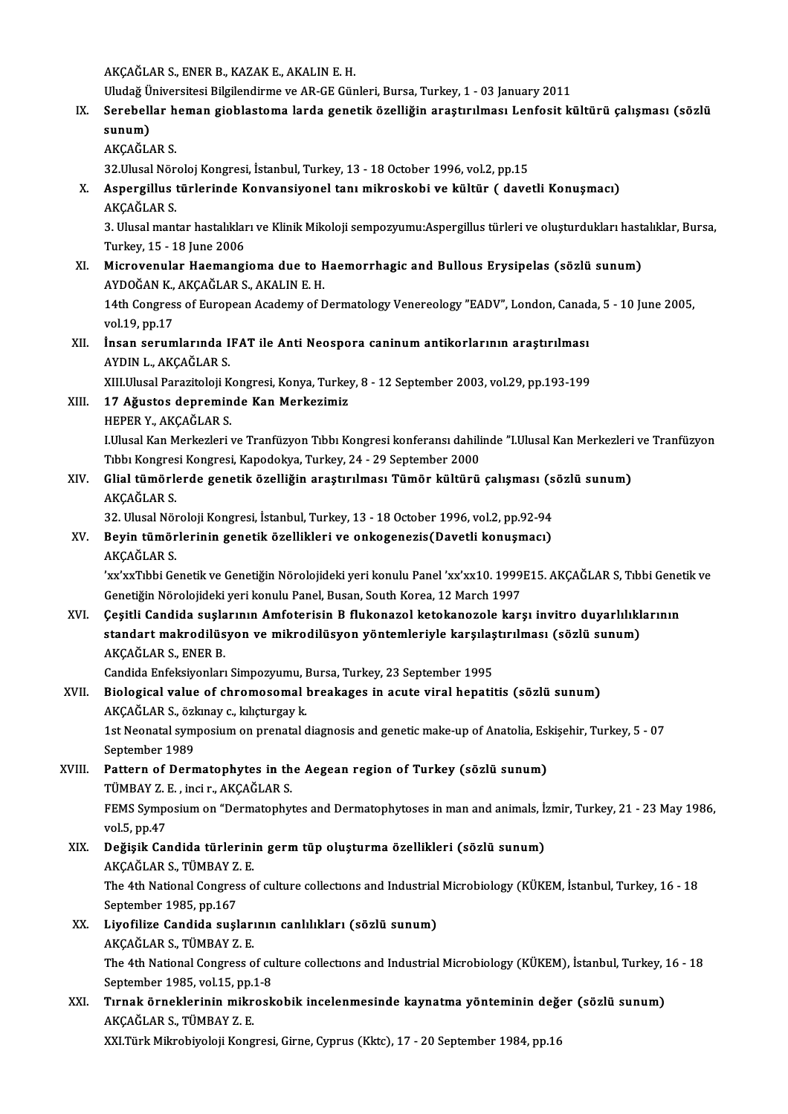AKÇAĞLARS.,ENERB.,KAZAKE.,AKALINE.H.

AKÇAĞLAR S., ENER B., KAZAK E., AKALIN E. H.<br>Uludağ Üniversitesi Bilgilendirme ve AR-GE Günleri, Bursa, Turkey, 1 - 03 January 2011<br>Serebellar beman giablastama larda genetik özelliğin anastınılması Lenfesit ki

### IX. Serebellar heman gioblastoma larda genetik özelliğin araştırılması Lenfosit kültürü çalışması (sözlü sunum) Uludağ Ü<br>Serebell<br>sunum)<br>AKCAČI

AKÇAĞLARS.

32. Ulusal Nöroloj Kongresi, İstanbul, Turkey, 13 - 18 October 1996, vol.2, pp.15

### AKÇAĞLAR S.<br>32.Ulusal Nöroloj Kongresi, İstanbul, Turkey, 13 - 18 October 1996, vol.2, pp.15<br>X. Aspergillus türlerinde Konvansiyonel tanı mikroskobi ve kültür ( davetli Konuşmacı)<br>AKÇAĞLAR S 32.Ulusal Nör<br><mark>Aspergillus</mark> 1<br>AKÇAĞLAR S.<br><sup>2. Ulusal mant</sup> Aspergillus türlerinde Konvansiyonel tanı mikroskobi ve kültür ( davetli Konuşmacı)<br>AKÇAĞLAR S.<br>3. Ulusal mantar hastalıkları ve Klinik Mikoloji sempozyumu:Aspergillus türleri ve oluşturdukları hastalıklar, Bursa,<br>Turkay 1

AKÇAĞLAR S.<br>3. Ulusal mantar hastalıklar<br>Turkey, 15 - 18 June 2006<br>Miarovonular Haomangi 3. Ulusal mantar hastalıkları ve Klinik Mikoloji sempozyumu:Aspergillus türleri ve oluşturdukları hast<br>Turkey, 15 - 18 June 2006<br>XI. Microvenular Haemangioma due to Haemorrhagic and Bullous Erysipelas (sözlü sunum)<br>AVDOČAN

### Turkey, 15 - 18 June 2006<br>Microvenular Haemangioma due to F<br>AYDOĞAN K., AKÇAĞLAR S., AKALIN E. H.<br>14th Congress of European Asademu of F AYDOĞAN K., AKÇAĞLAR S., AKALIN E. H.<br>14th Congress of European Academy of Dermatology Venereology "EADV", London, Canada, 5 - 10 June 2005,

vol.19,pp.17 14th Congress of European Academy of Dermatology Venereology "EADV", London, Canad<br>vol.19, pp.17<br>XII. İnsan serumlarında IFAT ile Anti Neospora caninum antikorlarının araştırılması<br>AVDIN LAKÇAĞLAR S

#### vol.19, pp.17<br>İnsan serumlarında I<br>AYDIN L., AKÇAĞLAR S.<br>YIILIlusel Peresiteleji K İnsan serumlarında IFAT ile Anti Neospora caninum antikorlarının araştırılması<br>AYDIN L., AKÇAĞLAR S.<br>XIII.Ulusal Parazitoloji Kongresi, Konya, Turkey, 8 - 12 September 2003, vol.29, pp.193-199<br>17. Ažustes denneminde Kan Me AYDIN L., AKÇAĞLAR S.<br>XIII.Ulusal Parazitoloji Kongresi, Konya, Turkey, 8 - 12 September 2003, vol.29, pp.193-199<br>XIII. 17 Ağustos depreminde Kan Merkezimiz

HEPERY.,AKÇAĞLARS.

17 Ağustos depreminde Kan Merkezimiz<br>HEPER Y., AKÇAĞLAR S.<br>LUlusal Kan Merkezleri ve Tranfüzyon Tıbbı Kongresi konferansı dahilinde "I.Ulusal Kan Merkezleri ve Tranfüzyon HEPER Y., AKÇAĞLAR S.<br>I.Ulusal Kan Merkezleri ve Tranfüzyon Tıbbı Kongresi konferansı dahili<br>Tıbbı Kongresi Kongresi, Kapodokya, Turkey, 24 - 29 September 2000<br>Clial tümörlerde genetik özelliğin arastırılması Tümör kültürü I.Ulusal Kan Merkezleri ve Tranfüzyon Tıbbı Kongresi konferansı dahilinde "I.Ulusal Kan Merkezleri<br>Tıbbı Kongresi Kongresi, Kapodokya, Turkey, 24 - 29 September 2000<br>XIV. Glial tümörlerde genetik özelliğin araştırılmas

### Tıbbı Kongresi Kongresi, Kapodokya, Turkey, 24 - 29 September 2000<br>Glial tümörlerde genetik özelliğin araştırılması Tümör kültürü çalışması (sözlü sunum)<br>AKÇAĞLAR S. Glial tümörlerde genetik özelliğin araştırılması Tümör kültürü çalışması (s<br>AKÇAĞLAR S.<br>32. Ulusal Nöroloji Kongresi, İstanbul, Turkey, 13 - 18 October 1996, vol.2, pp.92-94<br>Povin tümörlerinin senetik özellikleri ve enkase

## AKÇAĞLAR S.<br>32. Ulusal Nöroloji Kongresi, İstanbul, Turkey, 13 - 18 October 1996, vol.2, pp.92-94<br>XV. Beyin tümörlerinin genetik özellikleri ve onkogenezis(Davetli konuşmacı)<br>AKÇAĞLAR S 32. Ulusal Nör<br><mark>Beyin tümör</mark><br>AKÇAĞLAR S.<br>'vy'yyTıbbi Co

Beyin tümörlerinin genetik özellikleri ve onkogenezis(Davetli konuşmacı)<br>AKÇAĞLAR S.<br>'xx'xxTıbbi Genetik ve Genetiğin Nörolojideki yeri konulu Panel 'xx'xx10. 1999E15. AKÇAĞLAR S, Tıbbi Genetik ve AKÇAĞLAR S.<br>'xx'xxTıbbi Genetik ve Genetiğin Nörolojideki yeri konulu Panel 'xx'xx10. 1999.<br>Genetiğin Nörolojideki yeri konulu Panel, Busan, South Korea, 12 March 1997<br>Cesitli Candida suslanının Amfotorisin B. flukanazal k xx'xxTıbbi Genetik ve Genetiğin Nörolojideki yeri konulu Panel 'xx'xx10. 1999E15. AKÇAĞLAR S, Tıbbi Gene'<br>Genetiğin Nörolojideki yeri konulu Panel, Busan, South Korea, 12 March 1997<br>XVI. Ceşitli Candida suşlarının Amfoteri

#### Genetiğin Nörolojideki yeri konulu Panel, Busan, South Korea, 12 March 1997<br>Çeşitli Candida suşlarının Amfoterisin B flukonazol ketokanozole karşı invitro duyarlılıkl<br>standart makrodilüsyon ve mikrodilüsyon yöntemleriyle k Çeşitli Candida suşla<br>standart makrodilüs<br>AKÇAĞLAR S., ENER B.<br>Candida Enfeksivenlerı standart makrodilüsyon ve mikrodilüsyon yöntemleriyle karşılaştırılması (sözlü sunum)<br>AKÇAĞLAR S., ENER B.<br>Candida Enfeksiyonları Simpozyumu, Bursa, Turkey, 23 September 1995 AKÇAĞLAR S., ENER B.<br>Candida Enfeksiyonları Simpozyumu, Bursa, Turkey, 23 September 1995<br>XVII. Biological value of chromosomal breakages in acute viral hepatitis (sözlü sunum)<br>AKÇAĞLAR S. Özlüney a kakıyosu k

Candida Enfeksiyonları Simpozyumu, I<br>Biological value of chromosomal<br>AKÇAĞLAR S., özkınay c., kılıçturgay k.<br>1st Neonatal sumposium on prenatal s Biological value of chromosomal breakages in acute viral hepatitis (sözlü sunum)<br>AKÇAĞLAR S., özkınay c., kılıçturgay k.<br>1st Neonatal symposium on prenatal diagnosis and genetic make-up of Anatolia, Eskişehir, Turkey, 5 - AKÇAĞLAR S., özkınay c., kılıçturgay k.<br>1st Neonatal symposium on prenatal diagnosis and genetic make-up of Anatolia, Eskişehir, Turkey, 5 - 07<br>September 1989 1st Neonatal symposium on prenatal diagnosis and genetic make-up of Anatolia, Esl<br>September 1989<br>XVIII. Pattern of Dermatophytes in the Aegean region of Turkey (sözlü sunum)<br>TÜMPAY 7 E. ingi r. AKGAĞLAR S

### September 1989<br>Pattern of Dermatophytes in th<br>TÜMBAY Z. E. , inci r., AKÇAĞLAR S.<br>FEMS Sumposium on "Dermatophy TÜMBAY Z. E., inci r., AKÇAĞLAR S.

FEMS Symposium on "Dermatophytes and Dermatophytoses in man and animals, İzmir, Turkey, 21 - 23 May 1986, vol.5, pp.47 FEMS Symposium on "Dermatophytes and Dermatophytoses in man and animals, İ:<br>vol.5, pp.47<br>XIX. Değişik Candida türlerinin germ tüp oluşturma özellikleri (sözlü sunum)<br>AKCAČI AR S. TÜMRAV 7. F

### vol.5, pp.47<br>De<mark>ğişik Candida türlerini</mark><br>AKÇAĞLAR S., TÜMBAY Z. E.<br>The 4th National Congress o AKCAĞLAR S., TÜMBAY Z. E.

The 4th National Congress of culture collections and Industrial Microbiology (KÜKEM, İstanbul, Turkey, 16 - 18<br>September 1985, pp.167 The 4th National Congress of culture collections and Industrial<br>September 1985, pp.167<br>XX. Liyofilize Candida suşlarının canlılıkları (sözlü sunum)<br>AKCAČLAR S. TÜMBAY 7 E

### September 1985, pp.167<br>Liyofilize Candida suşları<br>AKÇAĞLAR S., TÜMBAY Z. E.<br>The 4th National Congress e Liyofilize Candida suşlarının canlılıkları (sözlü sunum)<br>AKÇAĞLAR S., TÜMBAY Z. E.<br>The 4th National Congress of culture collections and Industrial Microbiology (KÜKEM), İstanbul, Turkey, 16 - 18<br>Santambar 1985, val 15 nn 1 AKÇAĞLAR S., TÜMBAY Z. E.<br>The 4th National Congress of cu<br>September 1985, vol.15, pp.1-8<br>Tunak önneklerinin miknesk

### The 4th National Congress of culture collections and Industrial Microbiology (KÜKEM), İstanbul, Turkey, 2<br>September 1985, vol.15, pp.1-8<br>XXI. Tırnak örneklerinin mikroskobik incelenmesinde kaynatma yönteminin değer (sö September 1985, vol.15, pp.1-8<br>XXI. Tırnak örneklerinin mikroskobik incelenmesinde kaynatma yönteminin değer (sözlü sunum)<br>AKÇAĞLAR S., TÜMBAY Z. E.

XXI.Türk Mikrobiyoloji Kongresi, Girne, Cyprus (Kktc), 17 - 20 September 1984, pp.16